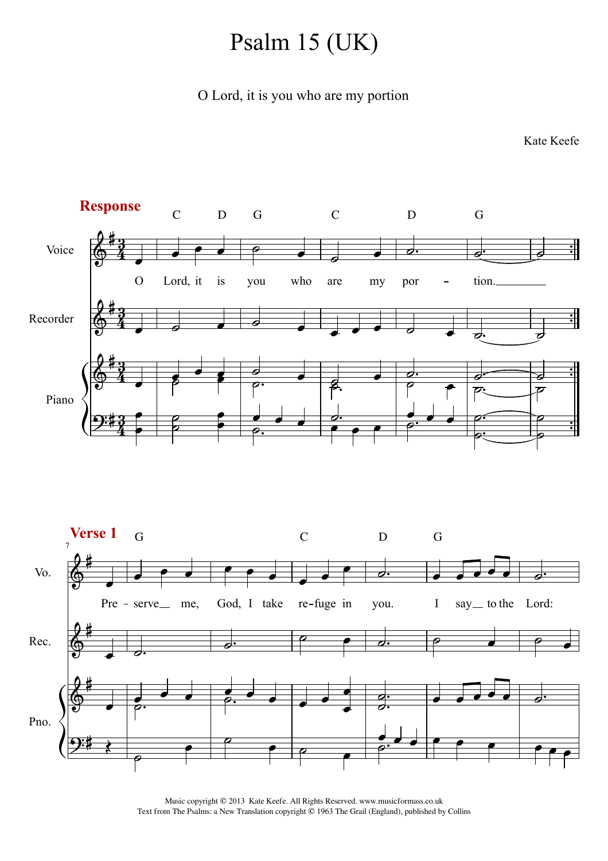## Psalm 15 (UK)

O Lord, it is you who are my portion

Kate Keefe



Music copyright © 2013 Kate Keefe. All Rights Reserved. www.musicformass.co.uk Text from The Psalms: a New Translation copyright © 1963 The Grail (England), published by Collins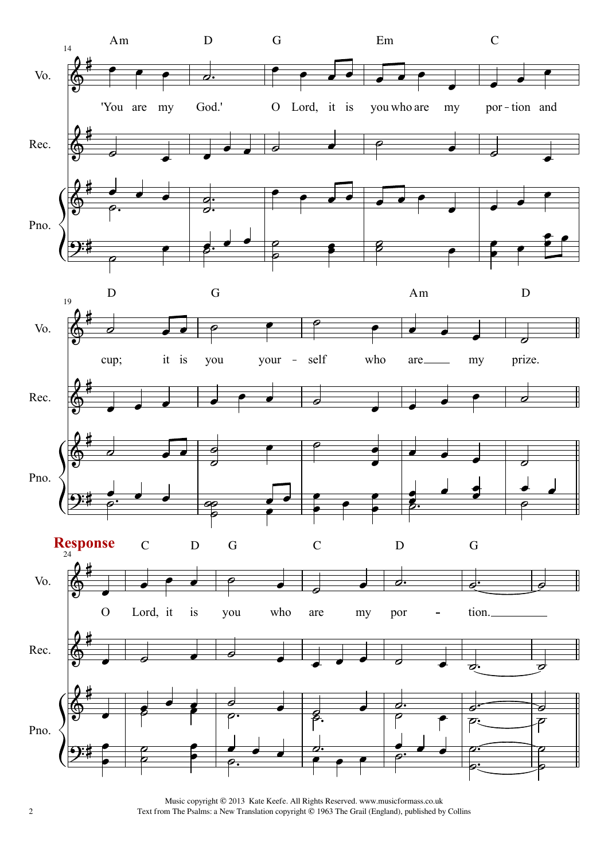

2 Text from The Psalms: a New Translation copyright © 1963 The Grail (England), published by CollinsMusic copyright © 2013 Kate Keefe. All Rights Reserved. www.musicformass.co.uk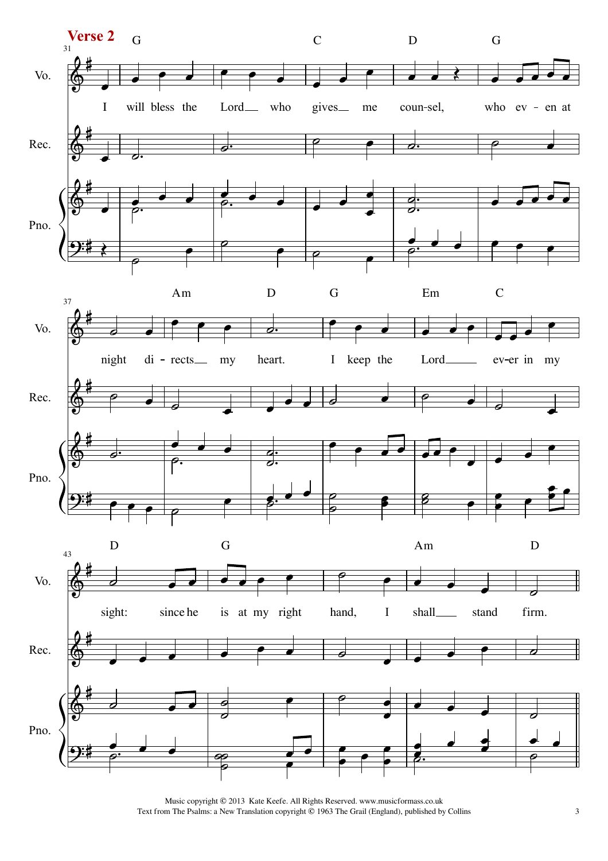

Music copyright © 2013 Kate Keefe. All Rights Reserved. www.musicformass.co.uk<br>m The Psalms: a New Translation copyright © 1963 The Grail (England), published by Collins 3 Text from The Psalms: a New Translation copyright  $@$  1963 The Grail (England), published by Collins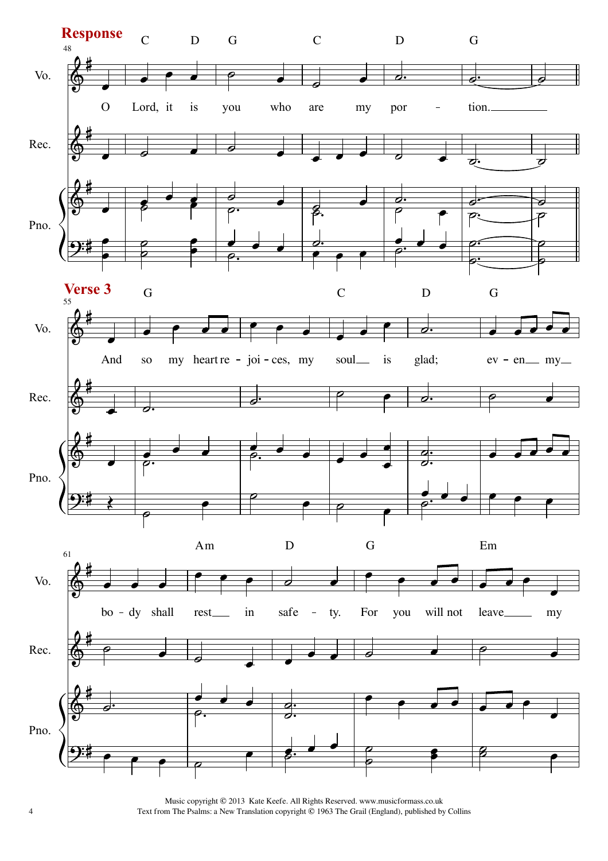

4 Text from The Psalms: a New Translation copyright © 1963 The Grail (England), published by CollinsMusic copyright © 2013 Kate Keefe. All Rights Reserved. www.musicformass.co.uk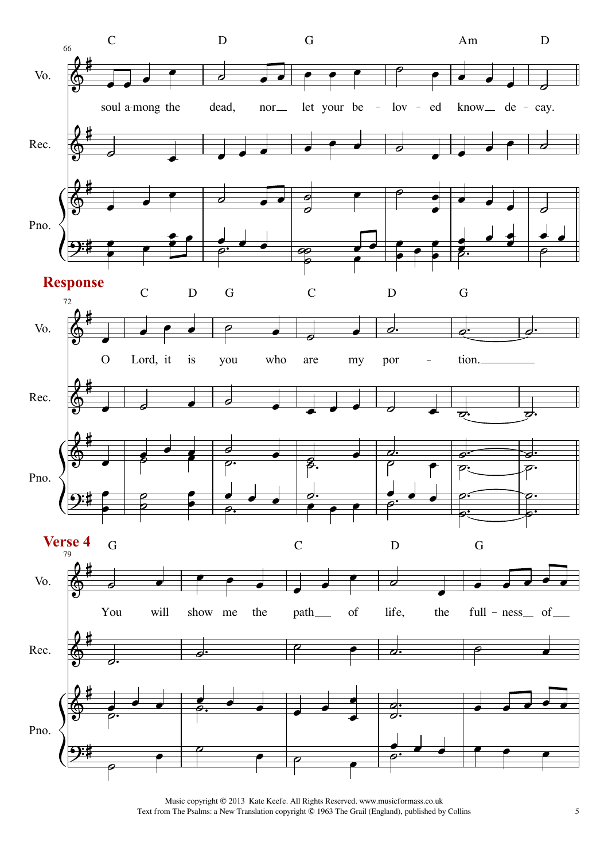

Music copyright © 2013 Kate Keefe. All Rights Reserved. www.musicformass.co.uk<br>m The Psalms: a New Translation copyright © 1963 The Grail (England), published by Collins 5 Text from The Psalms: a New Translation copyright  $@$  1963 The Grail (England), published by Collins